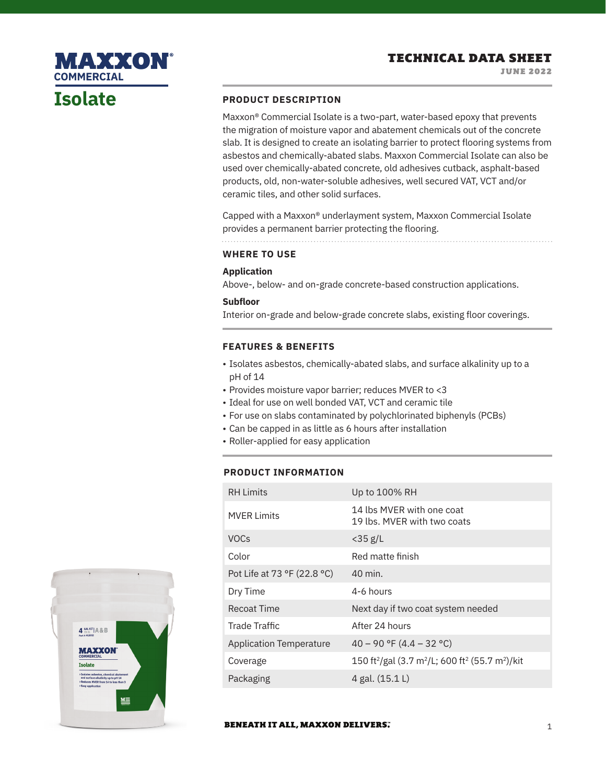# **Isolate**

**COMMERCIAL**

MAXXON

### **PRODUCT DESCRIPTION**

Maxxon® Commercial Isolate is a two-part, water-based epoxy that prevents the migration of moisture vapor and abatement chemicals out of the concrete slab. It is designed to create an isolating barrier to protect flooring systems from asbestos and chemically-abated slabs. Maxxon Commercial Isolate can also be used over chemically-abated concrete, old adhesives cutback, asphalt-based products, old, non-water-soluble adhesives, well secured VAT, VCT and/or ceramic tiles, and other solid surfaces.

Capped with a Maxxon® underlayment system, Maxxon Commercial Isolate provides a permanent barrier protecting the flooring.

## **WHERE TO USE**

### **Application**

Above-, below- and on-grade concrete-based construction applications.

### **Subfloor**

Interior on-grade and below-grade concrete slabs, existing floor coverings.

### **FEATURES & BENEFITS**

- Isolates asbestos, chemically-abated slabs, and surface alkalinity up to a pH of 14
- Provides moisture vapor barrier; reduces MVER to <3
- Ideal for use on well bonded VAT, VCT and ceramic tile
- For use on slabs contaminated by polychlorinated biphenyls (PCBs)
- Can be capped in as little as 6 hours after installation
- Roller-applied for easy application

### **PRODUCT INFORMATION**

| <b>RH</b> Limits               | Up to 100% RH                                                                                   |
|--------------------------------|-------------------------------------------------------------------------------------------------|
| <b>MVER Limits</b>             | 14 lbs MVFR with one coat<br>19 lbs. MVER with two coats                                        |
| <b>VOCs</b>                    | $<$ 35 g/L                                                                                      |
| Color                          | Red matte finish                                                                                |
| Pot Life at 73 °F (22.8 °C)    | 40 min.                                                                                         |
| Dry Time                       | 4-6 hours                                                                                       |
| Recoat Time                    | Next day if two coat system needed                                                              |
| Trade Traffic                  | After 24 hours                                                                                  |
| <b>Application Temperature</b> | $40 - 90$ °F (4.4 – 32 °C)                                                                      |
| Coverage                       | 150 ft <sup>2</sup> /gal (3.7 m <sup>2</sup> /L; 600 ft <sup>2</sup> (55.7 m <sup>2</sup> )/kit |
| Packaging                      | 4 gal. (15.1 L)                                                                                 |



### **BENEATH IT ALL, MAXXON DELIVERS.**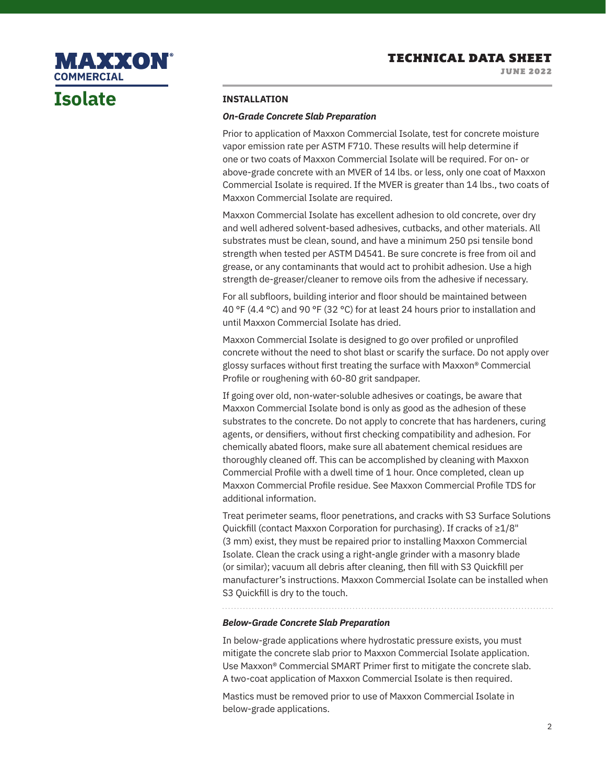JUNE 2022

# **MAXXON® COMMERCIAL**

# **Isolate**

### **INSTALLATION**

### *On-Grade Concrete Slab Preparation*

Prior to application of Maxxon Commercial Isolate, test for concrete moisture vapor emission rate per ASTM F710. These results will help determine if one or two coats of Maxxon Commercial Isolate will be required. For on- or above-grade concrete with an MVER of 14 lbs. or less, only one coat of Maxxon Commercial Isolate is required. If the MVER is greater than 14 lbs., two coats of Maxxon Commercial Isolate are required.

Maxxon Commercial Isolate has excellent adhesion to old concrete, over dry and well adhered solvent-based adhesives, cutbacks, and other materials. All substrates must be clean, sound, and have a minimum 250 psi tensile bond strength when tested per ASTM D4541. Be sure concrete is free from oil and grease, or any contaminants that would act to prohibit adhesion. Use a high strength de-greaser/cleaner to remove oils from the adhesive if necessary.

For all subfloors, building interior and floor should be maintained between 40 °F (4.4 °C) and 90 °F (32 °C) for at least 24 hours prior to installation and until Maxxon Commercial Isolate has dried.

Maxxon Commercial Isolate is designed to go over profiled or unprofiled concrete without the need to shot blast or scarify the surface. Do not apply over glossy surfaces without first treating the surface with Maxxon® Commercial Profile or roughening with 60-80 grit sandpaper.

If going over old, non-water-soluble adhesives or coatings, be aware that Maxxon Commercial Isolate bond is only as good as the adhesion of these substrates to the concrete. Do not apply to concrete that has hardeners, curing agents, or densifiers, without first checking compatibility and adhesion. For chemically abated floors, make sure all abatement chemical residues are thoroughly cleaned off. This can be accomplished by cleaning with Maxxon Commercial Profile with a dwell time of 1 hour. Once completed, clean up Maxxon Commercial Profile residue. See Maxxon Commercial Profile TDS for additional information.

Treat perimeter seams, floor penetrations, and cracks with S3 Surface Solutions Quickfill (contact Maxxon Corporation for purchasing). If cracks of ≥1/8" (3 mm) exist, they must be repaired prior to installing Maxxon Commercial Isolate. Clean the crack using a right-angle grinder with a masonry blade (or similar); vacuum all debris after cleaning, then fill with S3 Quickfill per manufacturer's instructions. Maxxon Commercial Isolate can be installed when S3 Quickfill is dry to the touch.

### *Below-Grade Concrete Slab Preparation*

In below-grade applications where hydrostatic pressure exists, you must mitigate the concrete slab prior to Maxxon Commercial Isolate application. Use Maxxon® Commercial SMART Primer first to mitigate the concrete slab. A two-coat application of Maxxon Commercial Isolate is then required.

Mastics must be removed prior to use of Maxxon Commercial Isolate in below-grade applications.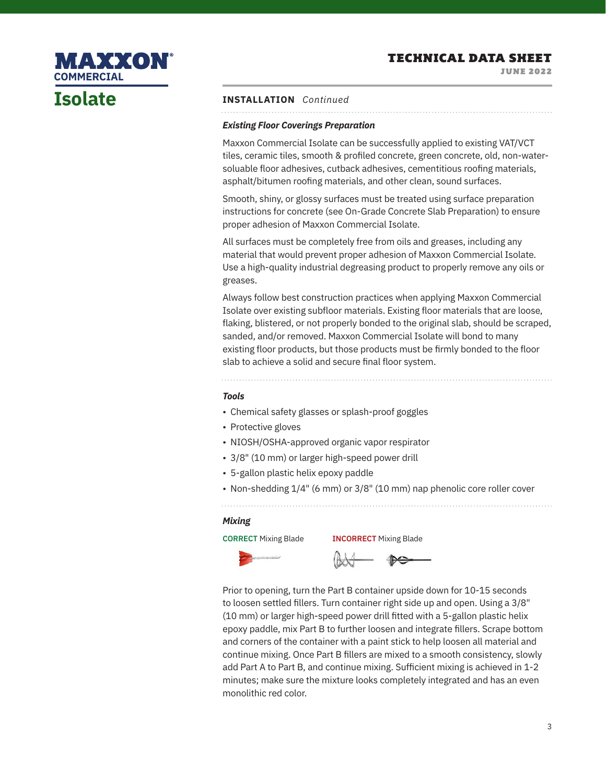JUNE 2022



# **Isolate**

### **INSTALLATION** *Continued*

### *Existing Floor Coverings Preparation*

Maxxon Commercial Isolate can be successfully applied to existing VAT/VCT tiles, ceramic tiles, smooth & profiled concrete, green concrete, old, non-watersoluable floor adhesives, cutback adhesives, cementitious roofing materials, asphalt/bitumen roofing materials, and other clean, sound surfaces.

Smooth, shiny, or glossy surfaces must be treated using surface preparation instructions for concrete (see On-Grade Concrete Slab Preparation) to ensure proper adhesion of Maxxon Commercial Isolate.

All surfaces must be completely free from oils and greases, including any material that would prevent proper adhesion of Maxxon Commercial Isolate. Use a high-quality industrial degreasing product to properly remove any oils or greases.

Always follow best construction practices when applying Maxxon Commercial Isolate over existing subfloor materials. Existing floor materials that are loose, flaking, blistered, or not properly bonded to the original slab, should be scraped, sanded, and/or removed. Maxxon Commercial Isolate will bond to many existing floor products, but those products must be firmly bonded to the floor slab to achieve a solid and secure final floor system.

#### *Tools*

- Chemical safety glasses or splash-proof goggles
- Protective gloves
- NIOSH/OSHA-approved organic vapor respirator
- 3/8" (10 mm) or larger high-speed power drill
- 5-gallon plastic helix epoxy paddle
- Non-shedding 1/4" (6 mm) or 3/8" (10 mm) nap phenolic core roller cover

### *Mixing*



Prior to opening, turn the Part B container upside down for 10-15 seconds to loosen settled fillers. Turn container right side up and open. Using a 3/8" (10 mm) or larger high-speed power drill fitted with a 5-gallon plastic helix epoxy paddle, mix Part B to further loosen and integrate fillers. Scrape bottom and corners of the container with a paint stick to help loosen all material and continue mixing. Once Part B fillers are mixed to a smooth consistency, slowly add Part A to Part B, and continue mixing. Sufficient mixing is achieved in 1-2 minutes; make sure the mixture looks completely integrated and has an even monolithic red color.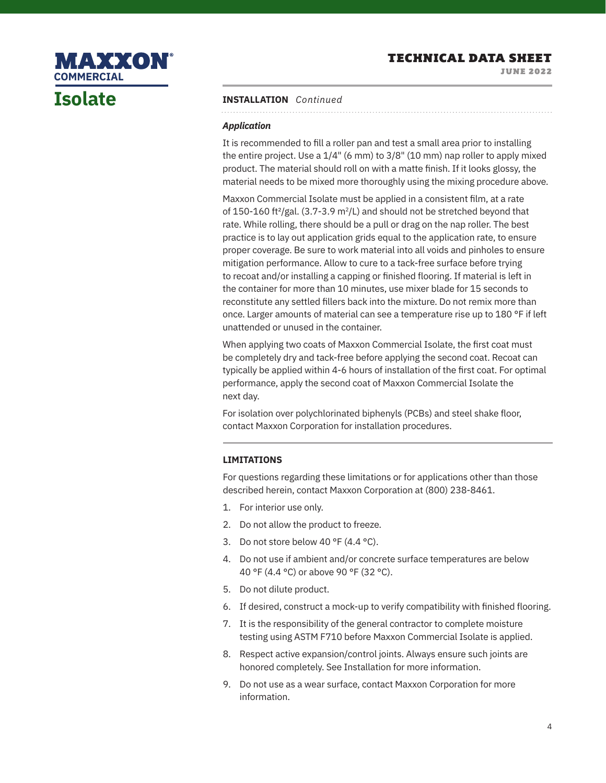JUNE 2022

# MAXXON **COMMERCIALIsolate**

### **INSTALLATION** *Continued*

### *Application*

It is recommended to fill a roller pan and test a small area prior to installing the entire project. Use a 1/4" (6 mm) to 3/8" (10 mm) nap roller to apply mixed product. The material should roll on with a matte finish. If it looks glossy, the material needs to be mixed more thoroughly using the mixing procedure above.

Maxxon Commercial Isolate must be applied in a consistent film, at a rate of 150-160 ft<sup>2</sup>/gal. (3.7-3.9 m<sup>2</sup>/L) and should not be stretched beyond that rate. While rolling, there should be a pull or drag on the nap roller. The best practice is to lay out application grids equal to the application rate, to ensure proper coverage. Be sure to work material into all voids and pinholes to ensure mitigation performance. Allow to cure to a tack-free surface before trying to recoat and/or installing a capping or finished flooring. If material is left in the container for more than 10 minutes, use mixer blade for 15 seconds to reconstitute any settled fillers back into the mixture. Do not remix more than once. Larger amounts of material can see a temperature rise up to 180 °F if left unattended or unused in the container.

When applying two coats of Maxxon Commercial Isolate, the first coat must be completely dry and tack-free before applying the second coat. Recoat can typically be applied within 4-6 hours of installation of the first coat. For optimal performance, apply the second coat of Maxxon Commercial Isolate the next day.

For isolation over polychlorinated biphenyls (PCBs) and steel shake floor, contact Maxxon Corporation for installation procedures.

### **LIMITATIONS**

For questions regarding these limitations or for applications other than those described herein, contact Maxxon Corporation at (800) 238-8461.

- 1. For interior use only.
- 2. Do not allow the product to freeze.
- 3. Do not store below 40 °F (4.4 °C).
- 4. Do not use if ambient and/or concrete surface temperatures are below 40 °F (4.4 °C) or above 90 °F (32 °C).
- 5. Do not dilute product.
- 6. If desired, construct a mock-up to verify compatibility with finished flooring.
- 7. It is the responsibility of the general contractor to complete moisture testing using ASTM F710 before Maxxon Commercial Isolate is applied.
- 8. Respect active expansion/control joints. Always ensure such joints are honored completely. See Installation for more information.
- 9. Do not use as a wear surface, contact Maxxon Corporation for more information.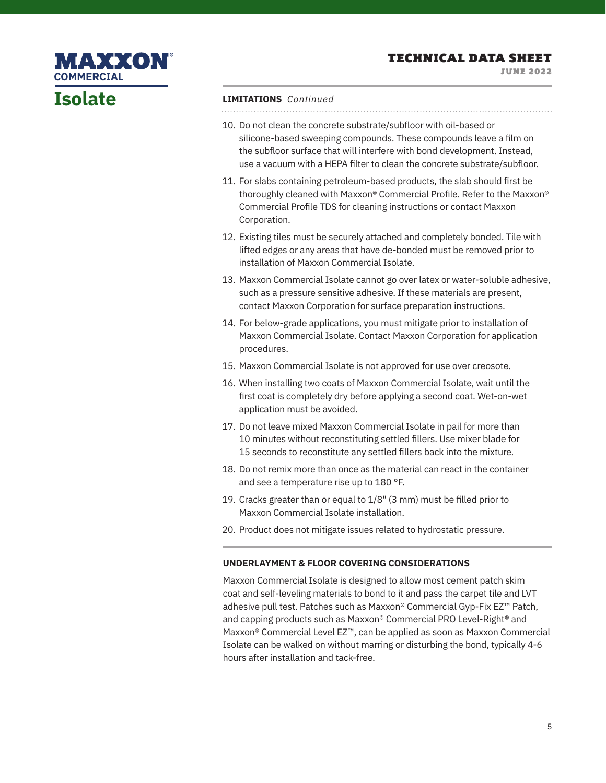JUNE 2022

## **MAXXON® COMMERCIAL**

# **Isolate**

#### **LIMITATIONS** *Continued*

- 10. Do not clean the concrete substrate/subfloor with oil-based or silicone-based sweeping compounds. These compounds leave a film on the subfloor surface that will interfere with bond development. Instead, use a vacuum with a HEPA filter to clean the concrete substrate/subfloor.
- 11. For slabs containing petroleum-based products, the slab should first be thoroughly cleaned with Maxxon® Commercial Profile. Refer to the Maxxon® Commercial Profile TDS for cleaning instructions or contact Maxxon Corporation.
- 12. Existing tiles must be securely attached and completely bonded. Tile with lifted edges or any areas that have de-bonded must be removed prior to installation of Maxxon Commercial Isolate.
- 13. Maxxon Commercial Isolate cannot go over latex or water-soluble adhesive, such as a pressure sensitive adhesive. If these materials are present, contact Maxxon Corporation for surface preparation instructions.
- 14. For below-grade applications, you must mitigate prior to installation of Maxxon Commercial Isolate. Contact Maxxon Corporation for application procedures.
- 15. Maxxon Commercial Isolate is not approved for use over creosote.
- 16. When installing two coats of Maxxon Commercial Isolate, wait until the first coat is completely dry before applying a second coat. Wet-on-wet application must be avoided.
- 17. Do not leave mixed Maxxon Commercial Isolate in pail for more than 10 minutes without reconstituting settled fillers. Use mixer blade for 15 seconds to reconstitute any settled fillers back into the mixture.
- 18. Do not remix more than once as the material can react in the container and see a temperature rise up to 180 °F.
- 19. Cracks greater than or equal to 1/8" (3 mm) must be filled prior to Maxxon Commercial Isolate installation.
- 20. Product does not mitigate issues related to hydrostatic pressure.

### **UNDERLAYMENT & FLOOR COVERING CONSIDERATIONS**

Maxxon Commercial Isolate is designed to allow most cement patch skim coat and self-leveling materials to bond to it and pass the carpet tile and LVT adhesive pull test. Patches such as Maxxon® Commercial Gyp-Fix EZ™ Patch, and capping products such as Maxxon® Commercial PRO Level-Right® and Maxxon® Commercial Level EZ™, can be applied as soon as Maxxon Commercial Isolate can be walked on without marring or disturbing the bond, typically 4-6 hours after installation and tack-free.